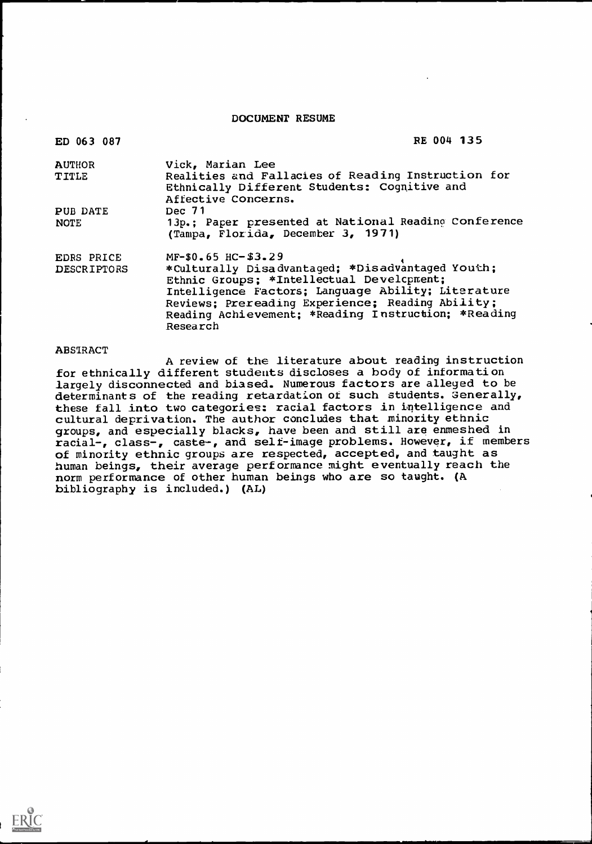DOCUMENT RESUME

| ED 063 087         | RE 004 135                                                                                                                |
|--------------------|---------------------------------------------------------------------------------------------------------------------------|
| <b>AUTHOR</b>      | Vick, Marian Lee                                                                                                          |
| <b>TITLE</b>       | Realities and Fallacies of Reading Instruction for<br>Ethnically Different Students: Cognitive and<br>Affective Concerns. |
| PUB DATE           | Dec 71                                                                                                                    |
| <b>NOTE</b>        | 13p.; Paper presented at National Reading Conference<br>(Tampa, Florida, December 3, 1971)                                |
| EDRS PRICE         | $MF-50.65$ HC- $$3.29$                                                                                                    |
| <b>DESCRIPTORS</b> | *Culturally Disadvantaged; *Disadvantaged Youth;                                                                          |
|                    | Ethnic Groups; *Intellectual Develcpment;                                                                                 |
|                    | Intelligence Factors; Language Ability; Literature                                                                        |
|                    | Reviews; Prereading Experience; Reading Ability;                                                                          |
|                    | Reading Achievement: *Reading Instruction; *Reading                                                                       |
|                    | Research                                                                                                                  |

### ABSTRACT

A review of the literature about reading instruction for ethnically different students discloses a body of information largely disconnected and biased. Numerous factors are alleged to be determinants of the reading retardation of such students. Generally, these fall into two categories: racial factors in intelligence and cultural deprivation. The author concludes that minority ethnic groups, and especially blacks, have been and still are enmeshed in racial-, class-, caste-, and self-image problems. However, if members of minority ethnic groups are respected, accepted, and taught as human beings, their average perf ormance might eventually reach the norm performance of other human beings who are so taught. (A bibliography is included.) (AL)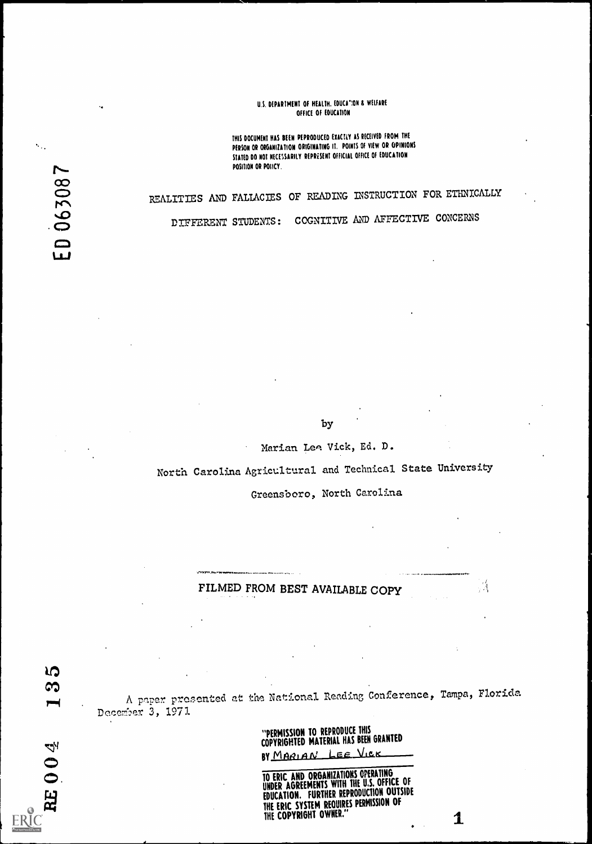### U.S. DEPARTMENT OF HEALTH. EDUCA"ION & WELFARE OFFICE OF EDUCATION

THIS DOCUMENT HAS BEEN PEPRODUCED EXACTLY AS RECEIVED FROM THE PERSON OR ORGANIZATION ORIGINATING It, POINTS OF VIEW OR OPINIONS STATED DO NOT NECESSARILY REPRESENT OFFICIAL OFFICE OF EDUCATION POSITION OR POIICY.

# REALITIES AND FALLACIES OF READING LNSTRUCTION FOR ETHNICALLY

DIFFERENT STUDENTS: COGNITIVE &ND AFFECTIVE CONCERNS

by

Marian Leg: Vick, Ed. D.

North Carolina Agricultural and Technical State University

Greensboro, North Carolina

A,

1

### FILMED FROM BEST AVAILABLE COPY

 $r = \frac{1}{2}$ A paper presented at the National Reading Conference, Tampa, Florida December 3, 1971

"PERMISSION TO REPRODUCE INIS ANALYSED COPYRIGHTED MATERIAL HAS BEEN GRANTED

BY MARIAN LEE VICK

TO ERIC AND ORGANIZATIONS OPERATING UNDER AGREEMENTS WITH THE U.S. UTTIVE OF EDUCATION. FURTHER REPRODUCTION OUTSIDE THE ERIC SYSTEM REQUIRES PERMISSION OF THE COPYRIGHT OWNER."

り ణ

**RE004** 

 $\epsilon_{\rm cr}$ 

ED 063087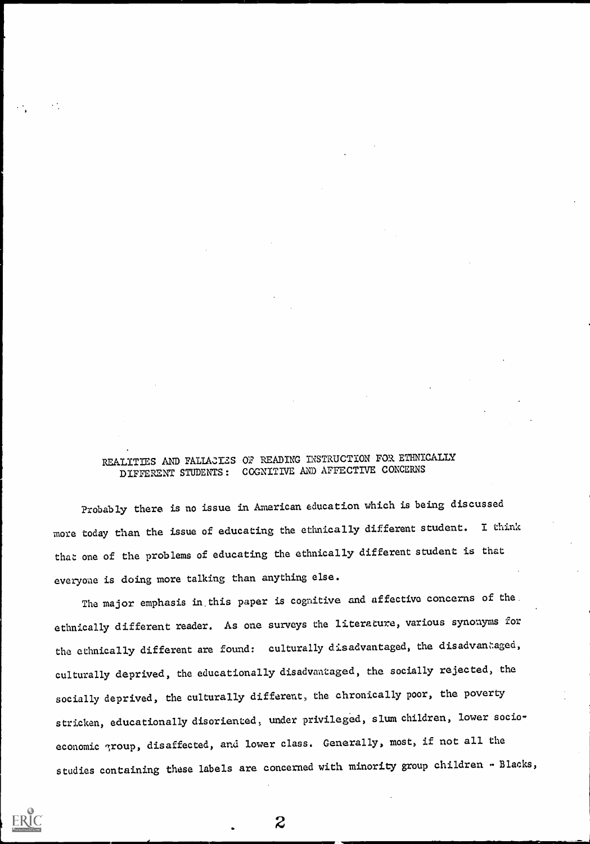### REALITIES AND FALIACIES OF READING INSTRUCTION FOR ETHNICALLY DIFFERENT STUDENTS: COGNITIVE AND AFFECTIVE CONCERNS

Probably there is no issue in American education which is being discussed more today than the issue of educating the ethnically different student. I think that one of the problems of educating the ethnically different student is that everyone is doing more talking than anything else.

The major emphasis in this paper is cognitive and affective concerns of the. ethnically different reader. As one surveys the literature, various synonyms for the ethnically different are found: culturally disadvantaged, the disadvantaged, culturally deprived, the educationally disadvantaged, the socially rejected, the socially deprived, the culturally different, the chronically poor, the poverty stricken, educationally disoriented, under privileged, slum children, lower socioeconomic group, disaffected, and lower class. Generally, most, if not all the studies containing these labels are concerned with minority group children - Blacks,

 $\boldsymbol{z}$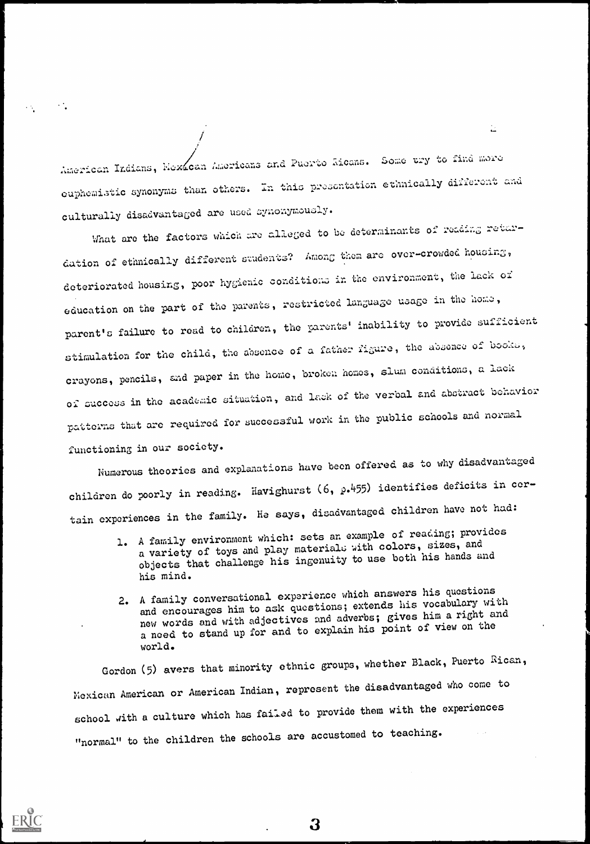American Indians, Hexican Americans and Puerto Aicans. Some try to find more euphemistic synonyms than others. In this presentation ethnically different and culturally disadvantaged are used synonymously.

 $\mathbf{L}$ 

What are the factors which are alleged to be determinants of reading retardation of ethnically different students? Among them are over-crowded housing, deteriorated housing, poor hygienic conditions in the environment, the lack of education on the part of the parents, restricted language usage in the home, parent's failure to read to children, the parents' inability to provide sufficient stimulation for the child, the absence of a father figure, the absence of books, crayons, pencils, and paper in the home, broken homes, slum conditions, a lack of success in the academic situation, and lack of the verbal and abstract behavior patterns that are required for successful work in the public schools and normal functioning in our society.

Numerous theories and explanations have been offered as to why disadvantaged children do poorly in reading. Havighurst  $(6, p.455)$  identifies deficits in certain experiences in the family. He says, disadvantaged children have not had:

- 1. A family environment which: sets an example of reading; provides a variety of toys and play materials with colors, sizes, and objects that challenge his ingenuity to use both his hands and his mind.
- 2. A family conversational experience which answers his questions and encourages him to ask questions; extends his vocabulary with new words and with adjectives and adverbs; gives him a right and a need to stand up for and to explain his point of view on the world.

Gordon (5) avers that minority ethnic groups, whether Black, Puerto Rican, Mexican American or American Indian, represent the disadvantaged who come to school aith a culture which has failed to provide them with the experiences "normal" to the children the schools are accustomed to teaching.



 $\mathcal{O}_\mathbf{a}$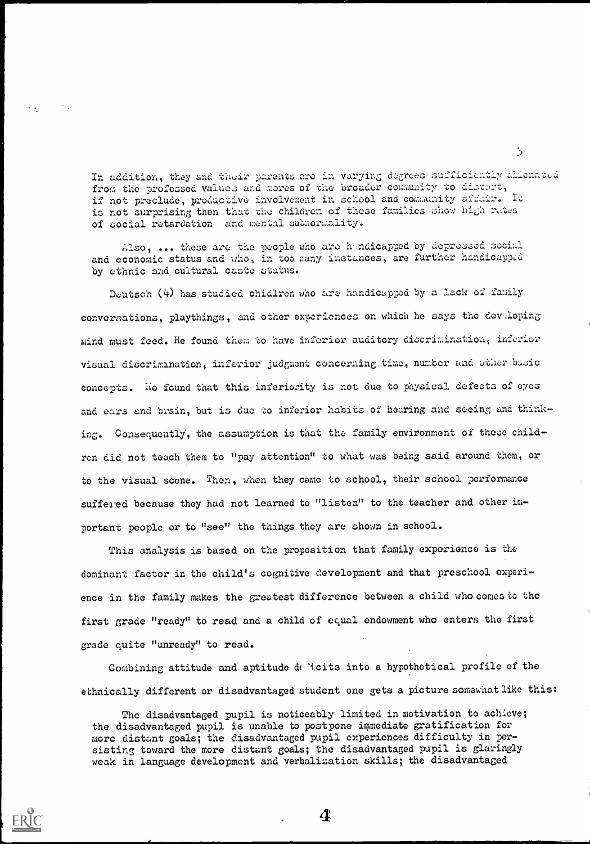In addition, they and their parents arc in varying degrees sufficiently elieneted from the professed values and mores of the broader community to distant, if not preclude, productive involvement in school and community afficir. It is not surprising then that the children of these families show high rates of social retardation and mental subnormality.

Also, ... these are the people who are hindicapped by depressed social and economic status and who, in too many instances, are further handicapped by ethnic and cultural caste status.

 $\sim$   $\sim$ 

Deutsch (4) has studied chidlren who are handicapped by a lack of family conversations, playthings, and other experiences on which he says the developing mind must feed. He found them to have inferior auditory diecrimination, inferior visual discrimination, inferior judgment concerning time, number and other basic concepts. He found that this inferiority is not due to physical defects of eyes and oars and brain, but is duo to inferior habits of hearing and seeing and thinking. Consequently, the assumption is that the family environment of these children did not teach them to 'pay attention" to what was being said around them, or to the visual scene. Then, when they came to school, their school performance suffered because they had not learned to "listen" to the teacher and other important people or to "see" the things they are shown in school.

This analysis is based on the proposition that family experience is the dominant factor in the child's cognitive development and that preschool experionce in the family makes the greatest difference between a child who Comes to the first grade "ready" to read and a child of esual endowment who enters the first grade quite "unready" to read.

Combining attitude and aptitude delicits into a hypothetical profile of the ethnically different or disadvantaged student one gets a picture somewhat like this:

The disadvantaged pupil is noticeably limited in motivation to achieve; the disadvantaged pupil is unable to postpone immediate gratification for more distant goals; the disadvantaged pupil experiences difficulty in persisting toward the more distant goals; the disadvantaged pupil is glaringly weak in language development and verbalization skills; the disadvantaged

4

 $\mathcal{L}$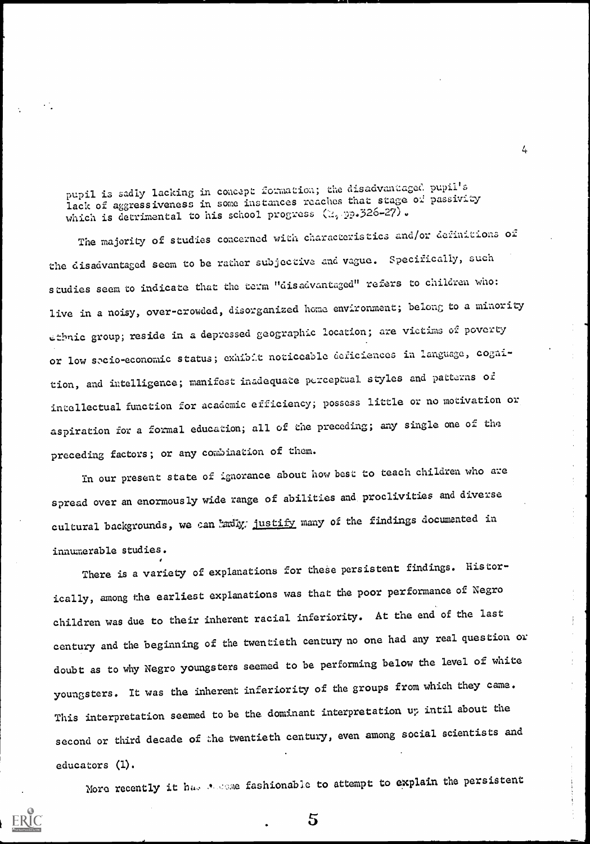pupil is sadly lacking in concept formation; the disadvantaged pupil's lack of aggressiveness in some instances reaches that stage of passivity which is detrimental to his school progress (2,  $p_0.326-27$ ).

 $\frac{1}{4}$ 

The majority of studies concerned with characteristics and/or definitions of the disadvantaged seem to be rather subjective and vague. Specifically, such studies seem to indicate that the term "disadvantaged" refers to children who: live in a noisy, over-crowded, disorganized home environment; belong to a minority ethnic group; reside in a depressed geographic location; are victims of poverty or low secio-economic status; exhibit noticeable deficiences in language, cognition, and intelligence; manifest inadequate perceptual styles and patterns of intellectual function for academic efficiency; possess little or no motivation or aspiration for a formal education; all of the preceding; any single one of the preceding factors; or any combination of them.

In our present state of ignorance about howbest to teach children who are spread over an enormously wide range of abilities and proclivities and diverse cultural backgrounds, we can ladly. justify many of the findings documented in innumerable studies.

There is a variety of explanations for these persistent findings. Historically, among the earliest explanations was that the poor performance of Negro children was due to their inherent racial inferiority. At the end of the last century and the beginning of the twentieth century no one had any real question or doubt as to why Negro youngsters seemed to be performing below the level of white youngsters. It was the inherent inferiority of the groups from which they came. This interpretation seemed to be the dominant interpretation up intil about the second or third decade of the twentieth century, even among social scientists and educators (1).

More recently it has secone fashionable to attempt to explain the persistent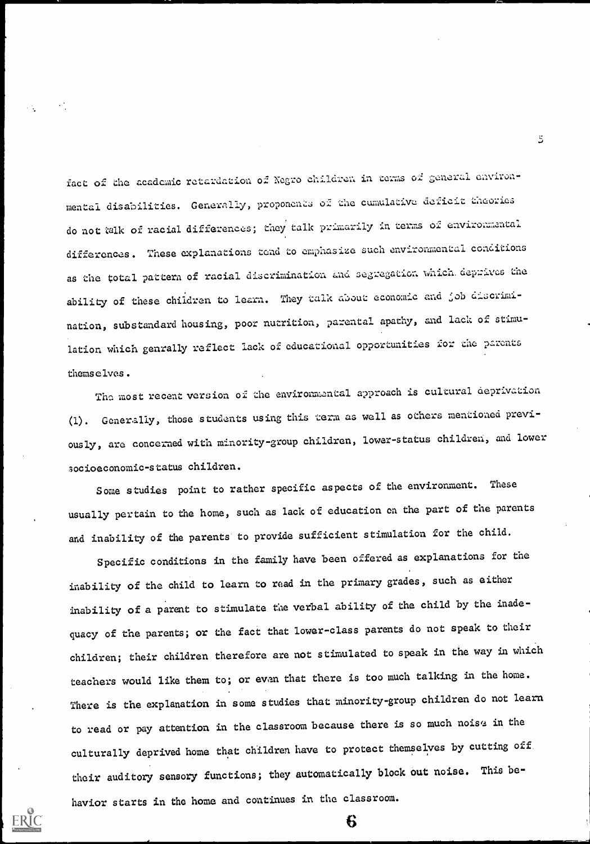fact of the academic retardation o2 Negro children in terms of geaeral environmental disabilities. Generally, proponents of the cumulative deficit theories do not falk of racial differences; they talk primarily in terms of environmental differences. These explanations tend to emphasize such environmental conditions as the total pattern of racial discrimination and segregation which deprives the ability of these children to learn. They talk about economic and job discrimination, substandard housing, poor nutrition, parental apathy, and lack of stimulation which genrally reflect lack of educational opportunities for the parents themselves.

The most recent version of the environmental approach is cultural deprivation (1). Generally, those students using this term as well as others mentioned previously, are concerned with minority-group children, lower-status children, and lower socioeconomic-status children.

Some studies point to rather specific aspects of the environment. These usually pertain to the home, such as lack of education on the part of the parents and inability of the parents to provide sufficient stimulation for the child.

Specific conditions in the family have been offered as explanations for the inability of the child to learn to read in the primary grades, such as either inability of a parent to stimulate the verbal ability of the child by the inadequacy of the parents; or the fact that lower-class parents do not speak to their children; their children therefore are not stimulated to speak in the way in which teachers would like them to; or even that there is too much talking in the home. There is the explanation in some studies that minority-group children do not learn to read or pay attention in the classroom because there is so much noise in the culturally deprived home that children have to protect themselves by cutting off their auditory sensory functions; they automatically block out noise. This behavior starts in the home and continues in the classroom.

6

 $\ddot{5}$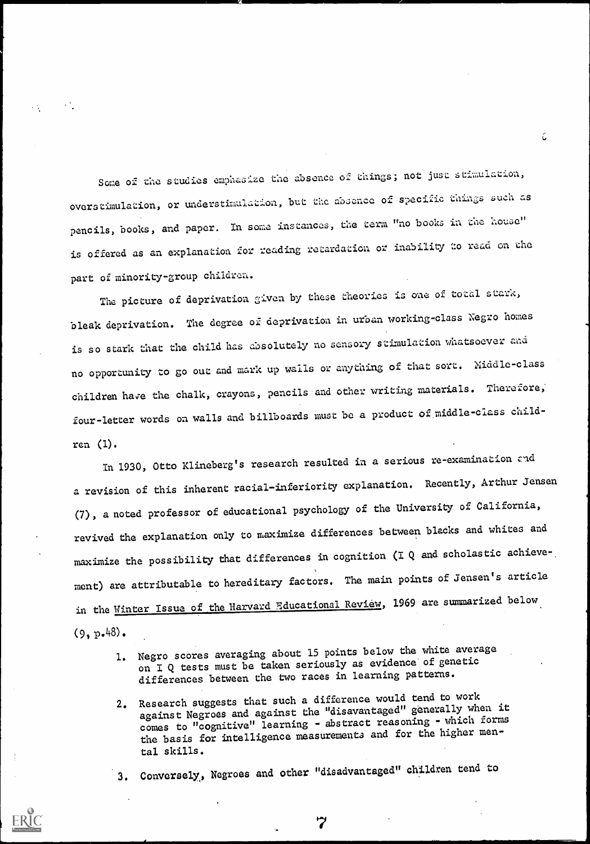Some of the studies emphasize the absence of things; not just stimulation, overstimulation, or understimulation, but the absence of specific things such as pencils, books, and paper. In some instances, the term "no books in the house" is offered as an explanation for reading retardation or inability to read on the part of minority-group children.

The picture of deprivation given by these theories is one of total stark, bleak deprivation. The degree of deprivation in urban working-class Negro homes is so stark that the child has absolutely no sensory stimulation whatsoever and no opportunity to go out and mark up walls or anything of that sort. Niddle-class children have the chalk, crayons, pencils and other writing materials. Therefore, four-letter words on walls and billboards rausr be a product of middle-class children (1).

In 1930, Otto Klineberg's research resulted in a serious re-examination and a revision of this inherent racial-inferiority explanation. Recently, Arthur Jensen (7), a noted professor of educational psychology of the University of California, revived the explanation only to maximize differences between blacks and whites and maximize the possibility that differences in cognition (1 Q and scholastic achieve ment) are attributable to hereditary factors. The main points of Jensen's article in the Winter Issue of the Harvard Educational Review, 1969 are summarized below  $(9, p.48)$ .

- 1. Negro scores averaging about 15 points below the white average on I Q tests must be taken seriously as evidence of genetic differences between the two races in learning patterns.
- 2. Research suggests that such a difference would tend to work against Negroes and against the "disavantaged" generally when it comes to "cognitive" learning - abstract reasoning - which forms the basis for intelligence measurements and for the higher mental skills.

3. Conversely,, Negroes and other "disadvantaged" children tend to

7

ć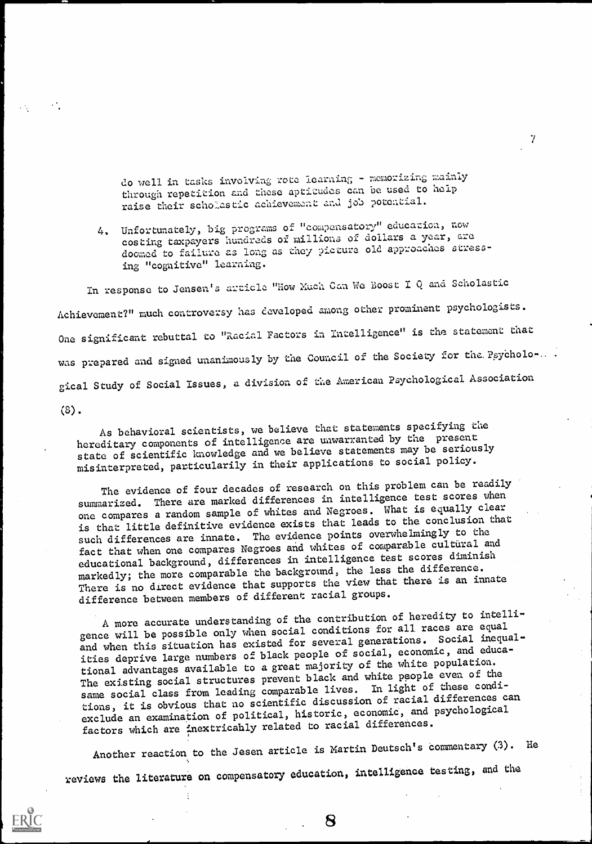do well in tasks involving rote learains - memorizing mainly through repetition and these aptitudes can be used to help raise their scho\_astic achievement and job potential.

4. Unfortunately, big programs of "compensatory" education, now costing taxpayers hundreds of millions of doIlars a year, are doomed to failure as long as they picture old approaches stressing "cognitive" learning.

In response to Jensen's article "How Much Can We Boost I Q and Scholastic Achievement?" much controversy has developed among other prominent psychologists One significant rebuttal to "Racial Factors in Intelligence" is the statement that was prepared and signed unanimously by the Council of the Society for the Psycholo-.... gical Study of Social Issues, a division of the Avericau Psychological Association (8).

As behavioral scientists, we believe that statements specifying the hereditary components of intelligence are unwarranted by the present state of scientific knowledge and we believe statements may be seriously misinterpreted, particularily in their applications to social policy.

The evidence of four decades of research on this problem can be readily summarized. There are marked differences in intelligence test scores when one compares a random sample of whites and Negroes. What is equally clear is that little definitive evidence exists that leads to the conclusion that such differences are innate. The evidence points overwhelmingly to the fact that when one compares Negroes and whites of comparable cultural and educational background, differences in intelligence test scores diminish markedly; the more comparable the background, the less the difference. There is no direct evidence that supports the view that there is an innate difference between members of different racial groups.

A more accurate understanding of the contribution of heredity to intelligence will be possible only when social conditions for all races are equal and when this situation has existed for several generations. Social inequalities deprive large numbers of black people of social, economic, and educational advantages available to a great majority of the white population. The existing social structures prevent black and white people even of the same social class from leading comparable lives. In light of these conditions, it is obvious that no scientific discussion of racial differences can exclude an examination of political, historic, economic, and psychological factors which are inextricahly related to racial differences.

Another reaction to the Jesen article is Martin Deutsch's commentary (3). He reviews the literature on compensatory education, intelligence testing, and the



8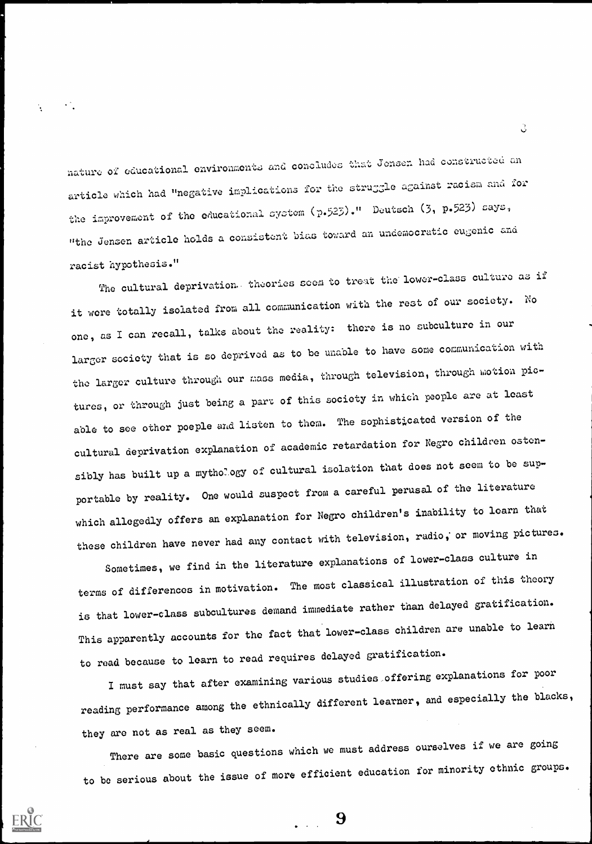I nature of educational environments and concludes that Jensen had constructed an article which had "negative implications for the struggle against racism and for the improvement of the educational system (p.523) ." Deutsch (3, p.523) says, "the Jensen article holds a consistent bias toward an undemocratic eugenic and racist hypothesis."

The cultural deprivation. theories scem to treat the lower-class culture as if it were totally isolated from all communication with the rest of our society. No one, as 1 can recall, talks about the reality: there is no subculture in our larger society that is so deprived as to be unable to have some communication with the larger culture through our mass media, through television, through motion pictures, or through just being a part of this society in which people are at least able to see other poeple and listen to them. The sophisticated version of the cultural deprivation explanation of academic retardation for Negro children ostensibly has built up a mythology of cultural isolation that does not seem to be supportable by reality. One would suspect from a careful perusal of the literature which allegedly offers an explanation for Negro children's inability to learn that these children have never had any contact with television, radio, or moving pictures.

Sometimes, we find in the literature explanations of lower-class culture in terms of differences in motivation. The most classical illustration of this theory is that lower-class subcultures demand immediate rather than delayed gratification. This apparently accounts for the fact that lower-class children are unable to learn to read because to learn to read requires delayed gratification.

1 must say that after examining various studies .offering explanations for poor reading performance among the ethnically different learner, and especially the blacks, they are not as real as they seem.

There are some basic questions which we must address ourselves if we are going to be serious about the issue of more efficient education for minority ethnic groups.

9

ੇ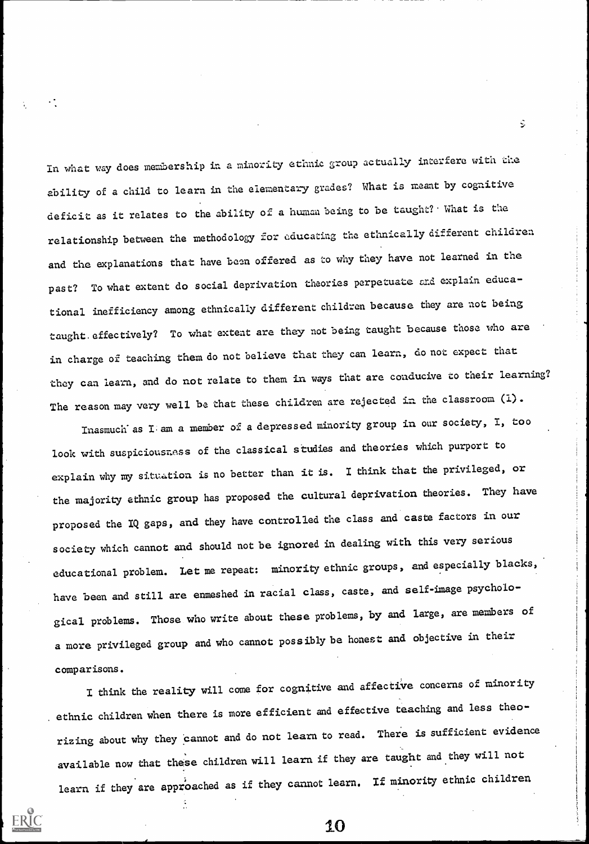In what way does membership in a minority ethnic group actually interfere with che ability of a child to learn in the elementary grades? What is meant by cognitive deficit as it relates to the ability of a human being to be taught? What is the relationship between the methodology for educating the ethnically different children and the explanations that have been offered as to why they have not learned in the past? To what extent do social deprivation theories perpetuate and explain educational inefficiency among ethnically different children because they are not being taught. effectively? To what extent are they not being taught because those who are in charge of teaching them do not believe that they can learn, do not expect that they can learn, and do not relate to them in ways that are conducive to their learning? The reason may very well be that these children are rejected in the classroom (1).

Inasmuch as I. am a member of a depressed minority group in our society, I, too look with suspiciousness of the classical studies and theories which purport to explain why my situation is no better than it is. I think that the privileged, or the majority ethnic group has proposed the cultural deprivation theories. They have proposed the IQ gaps, and they have controlled the class and caste factors in our society which cannot and should not be ignored in dealing with this very serious educational problem. Let me repeat: minority ethnic groups, and especially blacks, have been and still are enmeshed in racial class, caste, and self-image psychological problems. Those who write about these problems, by and large, are members of a more privileged group and who cannot possibly be honest and objective in their comparisons.

I think the reality will come for cognitive and affective concerns of minority ethnic children when there is more efficient and effective teaching and less theorizing about why they cannot and do not learn to read. There is sufficient evidence available now that these children will learn if they are taught and they will not learn if they are approached as if they cannot learn. If minority ethnic children

10

1

Ş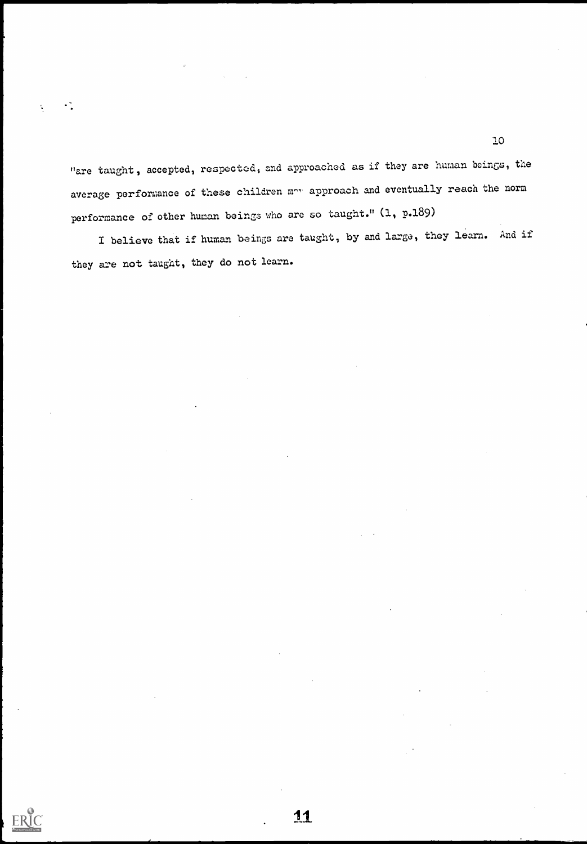"are taught, accepted, respected, and approached as if they are human beings, the average performance of these children moy approach and eventually reach the norm performance of other human beings who are so taught." (1, p.189)

 $\ddot{\cdot}$ 

**ERIC** 

I believe that if human beings are taught, by and large, they learn. And if they are not taught, they do not learn.

11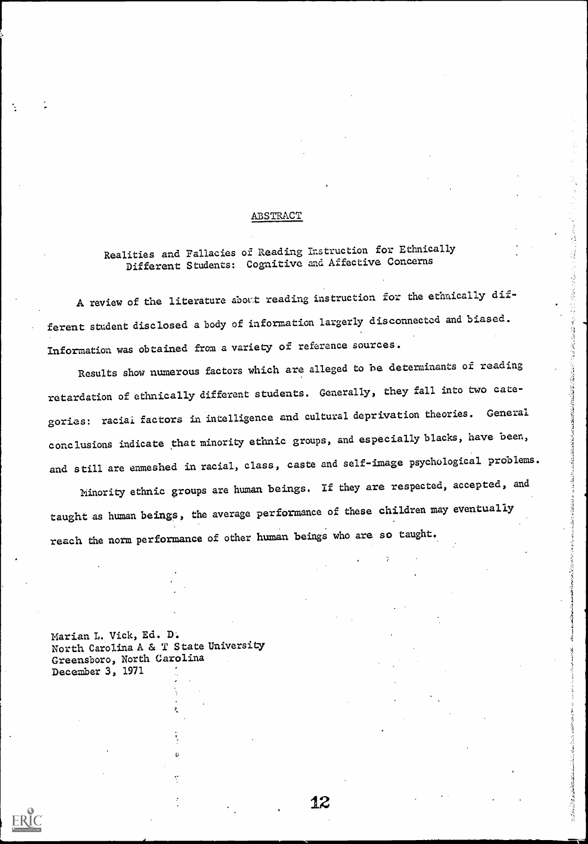### ABSTRACT

## Realities and Fallacies of Reading instruction for Ethnically Different Students: Cognitive and Affective Concerns

A review of the literature about reading instruction for the ethnically different student disclosed a body of information largerly disconnected and biased. Information was obtained from a variety of reference sources.

Realities and Fallacies of Reading Instruction for Ethnically<br>Different Students: Cognitive and Affective Concerns<br>A review of the literature about reading instruction for the ethnically dif-<br>t student disclosed a body of retardation of ethnically different students. Generally, they fall into two categories: raciai factors in intelligence and cultural deprivation theories. General conclusions indicate that minority ethnic groups, and especially blacks, have been, and still are enmeshed in racial, class, caste and self-image psychological problems.

Minority ethnic groups are human beings. If they are respected, accepted, and taught as human beings, the average performance of these children may eventually reach the norm performance of other human beings who are so taught.

Marian L. Vick, Ed. D. North Carolina A & T State University Greensboro, North Carolina December 3, 1971

12

○ (大学の)の (大学) の)